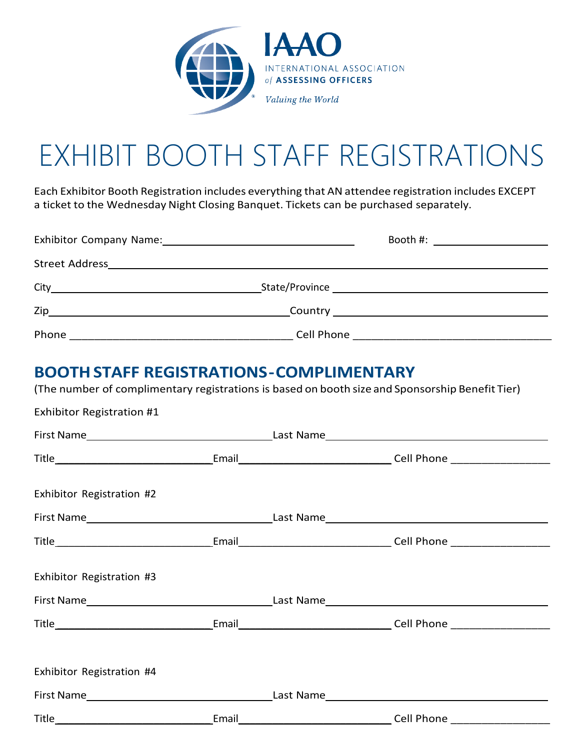

## EXHIBIT BOOTH STAFF REGISTRATIONS

Each Exhibitor Booth Registration includes everything that AN attendee registration includes EXCEPT a ticket to the Wednesday Night Closing Banquet. Tickets can be purchased separately.

|       |            | Booth #: ______________________ |
|-------|------------|---------------------------------|
|       |            |                                 |
|       |            |                                 |
|       |            |                                 |
| Phone | Cell Phone |                                 |

## **BOOTHSTAFF REGISTRATIONS - COMPLIMENTARY**

(The number of complimentary registrations is based on booth size and Sponsorship Benefit Tier)

| <b>Exhibitor Registration #1</b>                                                                               |  |                                                                                              |
|----------------------------------------------------------------------------------------------------------------|--|----------------------------------------------------------------------------------------------|
|                                                                                                                |  |                                                                                              |
| Title___________________________________Email___________________________________Cell Phone ___________________ |  |                                                                                              |
| Exhibitor Registration #2                                                                                      |  |                                                                                              |
|                                                                                                                |  |                                                                                              |
| Title__________________________________Email______________________________Cell Phone ____________________      |  |                                                                                              |
| Exhibitor Registration #3                                                                                      |  |                                                                                              |
|                                                                                                                |  |                                                                                              |
|                                                                                                                |  |                                                                                              |
| Exhibitor Registration #4                                                                                      |  |                                                                                              |
|                                                                                                                |  |                                                                                              |
|                                                                                                                |  | <b>Email Email Cell Phone Cell Phone Cell Phone Cell Phone Cell Phone Cell Phone Cell 10</b> |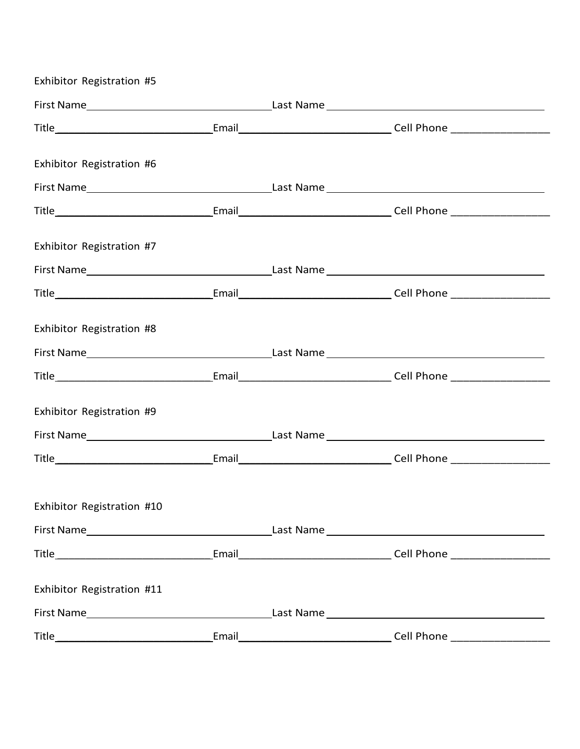| Exhibitor Registration #5                                                                                 |  |  |
|-----------------------------------------------------------------------------------------------------------|--|--|
|                                                                                                           |  |  |
| Title___________________________________Email_______________________________Cell Phone __________________ |  |  |
|                                                                                                           |  |  |
| Exhibitor Registration #6                                                                                 |  |  |
|                                                                                                           |  |  |
| Title___________________________________Email_______________________________Cell Phone __________________ |  |  |
| Exhibitor Registration #7                                                                                 |  |  |
|                                                                                                           |  |  |
| Title___________________________________Email______________________________Cell Phone ___________________ |  |  |
| Exhibitor Registration #8                                                                                 |  |  |
|                                                                                                           |  |  |
| Title___________________________________Email______________________________Cell Phone ___________________ |  |  |
| Exhibitor Registration #9                                                                                 |  |  |
|                                                                                                           |  |  |
|                                                                                                           |  |  |
|                                                                                                           |  |  |
| Exhibitor Registration #10                                                                                |  |  |
|                                                                                                           |  |  |
| Title___________________________________Email_______________________________Cell Phone __________________ |  |  |
| Exhibitor Registration #11                                                                                |  |  |
|                                                                                                           |  |  |
| Title___________________________________Email_____________________________Cell Phone ____________________ |  |  |